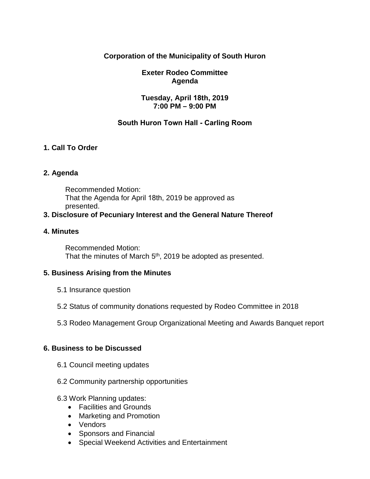# **Corporation of the Municipality of South Huron**

# **Exeter Rodeo Committee Agenda**

## **Tuesday, April 18th, 2019 7:00 PM – 9:00 PM**

# **South Huron Town Hall - Carling Room**

# **1. Call To Order**

## **2. Agenda**

Recommended Motion: That the Agenda for April 18th, 2019 be approved as presented.

## **3. Disclosure of Pecuniary Interest and the General Nature Thereof**

#### **4. Minutes**

Recommended Motion: That the minutes of March 5<sup>th</sup>, 2019 be adopted as presented.

# **5. Business Arising from the Minutes**

- 5.1 Insurance question
- 5.2 Status of community donations requested by Rodeo Committee in 2018
- 5.3 Rodeo Management Group Organizational Meeting and Awards Banquet report

## **6. Business to be Discussed**

- 6.1 Council meeting updates
- 6.2 Community partnership opportunities

#### 6.3 Work Planning updates:

- Facilities and Grounds
- Marketing and Promotion
- Vendors
- Sponsors and Financial
- Special Weekend Activities and Entertainment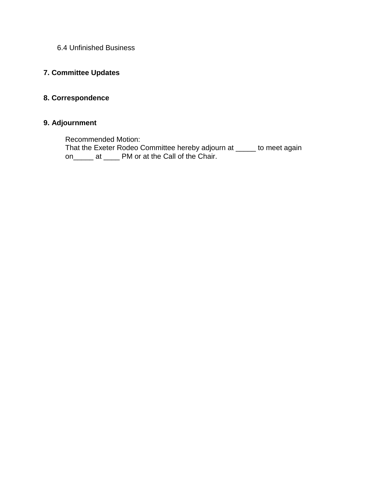6.4 Unfinished Business

# **7. Committee Updates**

# **8. Correspondence**

## **9. Adjournment**

Recommended Motion:

That the Exeter Rodeo Committee hereby adjourn at \_\_\_\_\_ to meet again on\_\_\_\_\_ at \_\_\_\_ PM or at the Call of the Chair.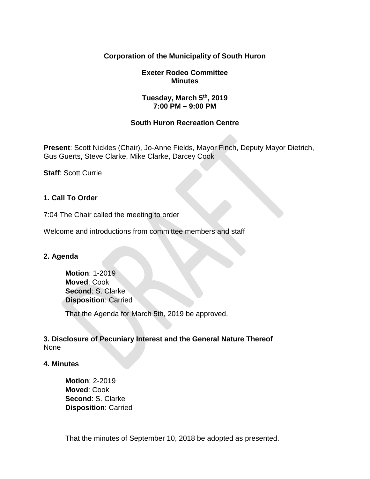## **Corporation of the Municipality of South Huron**

#### **Exeter Rodeo Committee Minutes**

#### **Tuesday, March 5th, 2019 7:00 PM – 9:00 PM**

#### **South Huron Recreation Centre**

**Present**: Scott Nickles (Chair), Jo-Anne Fields, Mayor Finch, Deputy Mayor Dietrich, Gus Guerts, Steve Clarke, Mike Clarke, Darcey Cook

**Staff**: Scott Currie

#### **1. Call To Order**

7:04 The Chair called the meeting to order

Welcome and introductions from committee members and staff

#### **2. Agenda**

**Motion**: 1-2019 **Moved**: Cook **Second**: S. Clarke **Disposition**: Carried

That the Agenda for March 5th, 2019 be approved.

**3. Disclosure of Pecuniary Interest and the General Nature Thereof** None

#### **4. Minutes**

**Motion**: 2-2019 **Moved**: Cook **Second**: S. Clarke **Disposition**: Carried

That the minutes of September 10, 2018 be adopted as presented.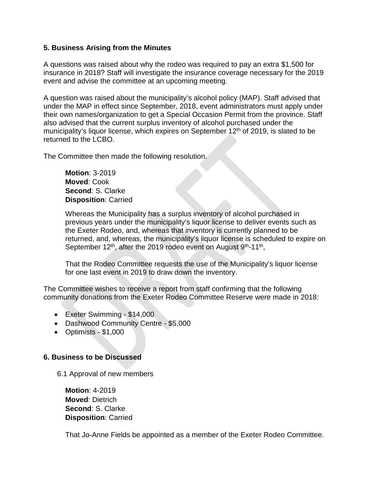#### **5. Business Arising from the Minutes**

A questions was raised about why the rodeo was required to pay an extra \$1,500 for insurance in 2018? Staff will investigate the insurance coverage necessary for the 2019 event and advise the committee at an upcoming meeting.

A question was raised about the municipality's alcohol policy (MAP). Staff advised that under the MAP in effect since September, 2018, event administrators must apply under their own names/organization to get a Special Occasion Permit from the province. Staff also advised that the current surplus inventory of alcohol purchased under the municipality's liquor license, which expires on September 12<sup>th</sup> of 2019, is slated to be returned to the LCBO.

The Committee then made the following resolution.

**Motion**: 3-2019 **Moved**: Cook **Second**: S. Clarke **Disposition**: Carried

Whereas the Municipality has a surplus inventory of alcohol purchased in previous years under the municipality's liquor license to deliver events such as the Exeter Rodeo, and, whereas that inventory is currently planned to be returned, and, whereas, the municipality's liquor license is scheduled to expire on September  $12<sup>th</sup>$ , after the 2019 rodeo event on August  $9<sup>th</sup>$ -11<sup>th</sup>,

That the Rodeo Committee requests the use of the Municipality's liquor license for one last event in 2019 to draw down the inventory.

The Committee wishes to receive a report from staff confirming that the following community donations from the Exeter Rodeo Committee Reserve were made in 2018:

- Exeter Swimming \$14,000
- Dashwood Community Centre \$5,000
- Optimists \$1,000

#### **6. Business to be Discussed**

6.1 Approval of new members

**Motion**: 4-2019 **Moved**: Dietrich **Second**: S. Clarke **Disposition**: Carried

That Jo-Anne Fields be appointed as a member of the Exeter Rodeo Committee.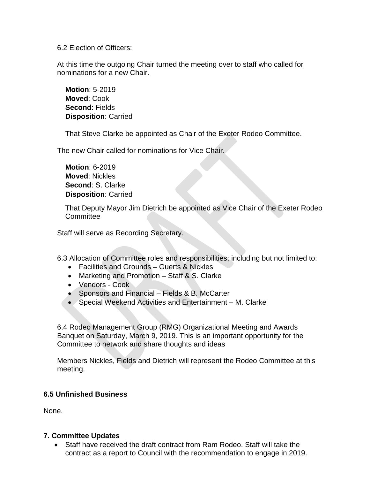6.2 Election of Officers:

At this time the outgoing Chair turned the meeting over to staff who called for nominations for a new Chair.

**Motion**: 5-2019 **Moved**: Cook **Second**: Fields **Disposition**: Carried

That Steve Clarke be appointed as Chair of the Exeter Rodeo Committee.

The new Chair called for nominations for Vice Chair.

**Motion**: 6-2019 **Moved**: Nickles **Second**: S. Clarke **Disposition**: Carried

That Deputy Mayor Jim Dietrich be appointed as Vice Chair of the Exeter Rodeo **Committee** 

Staff will serve as Recording Secretary.

6.3 Allocation of Committee roles and responsibilities; including but not limited to:

- Facilities and Grounds Guerts & Nickles
- Marketing and Promotion Staff & S. Clarke
- Vendors Cook
- Sponsors and Financial Fields & B. McCarter
- Special Weekend Activities and Entertainment M. Clarke

6.4 Rodeo Management Group (RMG) Organizational Meeting and Awards Banquet on Saturday, March 9, 2019. This is an important opportunity for the Committee to network and share thoughts and ideas

Members Nickles, Fields and Dietrich will represent the Rodeo Committee at this meeting.

#### **6.5 Unfinished Business**

None.

#### **7. Committee Updates**

• Staff have received the draft contract from Ram Rodeo. Staff will take the contract as a report to Council with the recommendation to engage in 2019.